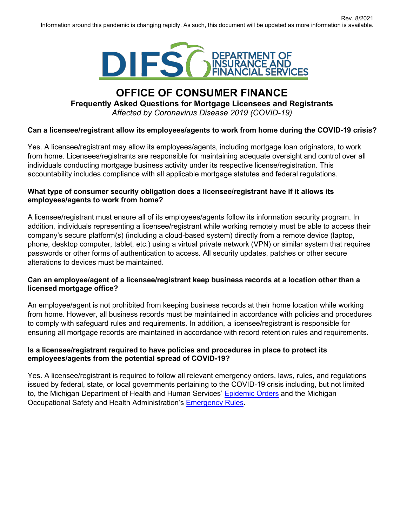

# **OFFICE OF CONSUMER FINANCE Frequently Asked Questions for Mortgage Licensees and Registrants** *Affected by Coronavirus Disease 2019 (COVID-19)*

# **Can a licensee/registrant allow its employees/agents to work from home during the COVID-19 crisis?**

Yes. A licensee/registrant may allow its employees/agents, including mortgage loan originators, to work from home. Licensees/registrants are responsible for maintaining adequate oversight and control over all individuals conducting mortgage business activity under its respective license/registration. This accountability includes compliance with all applicable mortgage statutes and federal regulations.

## **What type of consumer security obligation does a licensee/registrant have if it allows its employees/agents to work from home?**

A licensee/registrant must ensure all of its employees/agents follow its information security program. In addition, individuals representing a licensee/registrant while working remotely must be able to access their company's secure platform(s) (including a cloud-based system) directly from a remote device (laptop, phone, desktop computer, tablet, etc.) using a virtual private network (VPN) or similar system that requires passwords or other forms of authentication to access. All security updates, patches or other secure alterations to devices must be maintained.

### **Can an employee/agent of a licensee/registrant keep business records at a location other than a licensed mortgage office?**

An employee/agent is not prohibited from keeping business records at their home location while working from home. However, all business records must be maintained in accordance with policies and procedures to comply with safeguard rules and requirements. In addition, a licensee/registrant is responsible for ensuring all mortgage records are maintained in accordance with record retention rules and requirements.

### **Is a licensee/registrant required to have policies and procedures in place to protect its employees/agents from the potential spread of COVID-19?**

Yes. A licensee/registrant is required to follow all relevant emergency orders, laws, rules, and regulations issued by federal, state, or local governments pertaining to the COVID-19 crisis including, but not limited to, the Michigan Department of Health and Human Services' [Epidemic Orders](https://www.michigan.gov/coronavirus/0%2C9753%2C7-406-98178_98455-533660--%2C00.html) and the Michigan Occupational Safety and Health Administration's [Emergency](https://www.michigan.gov/leo/0%2C5863%2C7-336-100207---%2C00.html) Rules.